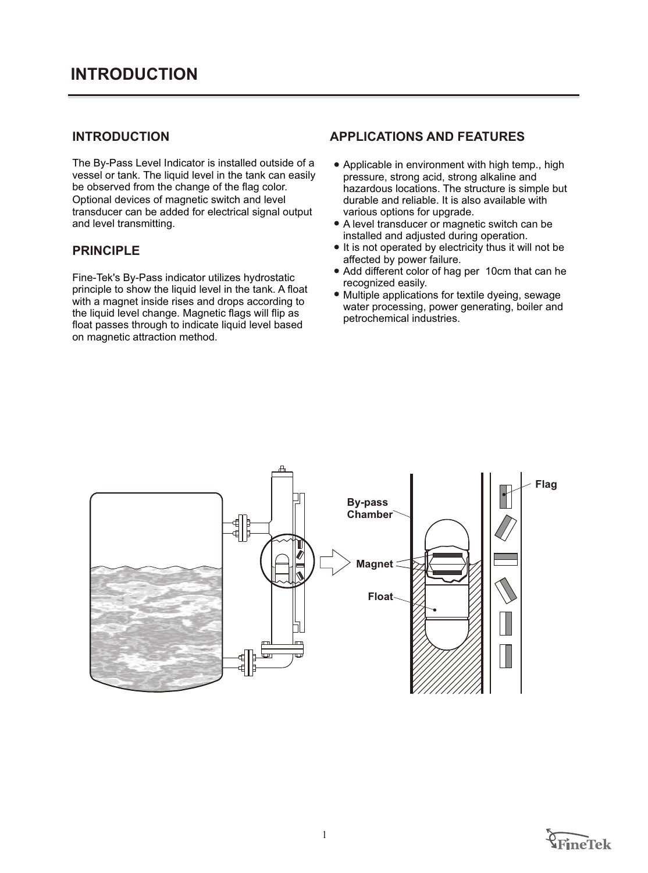The By-Pass Level Indicator is installed outside of a vessel or tank. The liquid level in the tank can easily be observed from the change of the flag color. Optional devices of magnetic switch and level transducer can be added for electrical signal output and level transmitting.

#### **PRINCIPLE**

Fine-Tek's By-Pass indicator utilizes hydrostatic principle to show the liquid level in the tank. A float with a magnet inside rises and drops according to the liquid level change. Magnetic flags will flip as float passes through to indicate liquid level based on magnetic attraction method.

#### **INTRODUCTION APPLICATIONS AND FEATURES**

- Applicable in environment with high temp., high pressure, strong acid, strong alkaline and hazardous locations. The structure is simple but durable and reliable. It is also available with various options for upgrade.
- A level transducer or magnetic switch can be installed and adjusted during operation.
- It is not operated by electricity thus it will not be affected by power failure.
- Add different color of hag per 10cm that can he recognized easily.
- Multiple applications for textile dyeing, sewage water processing, power generating, boiler and petrochemical industries.



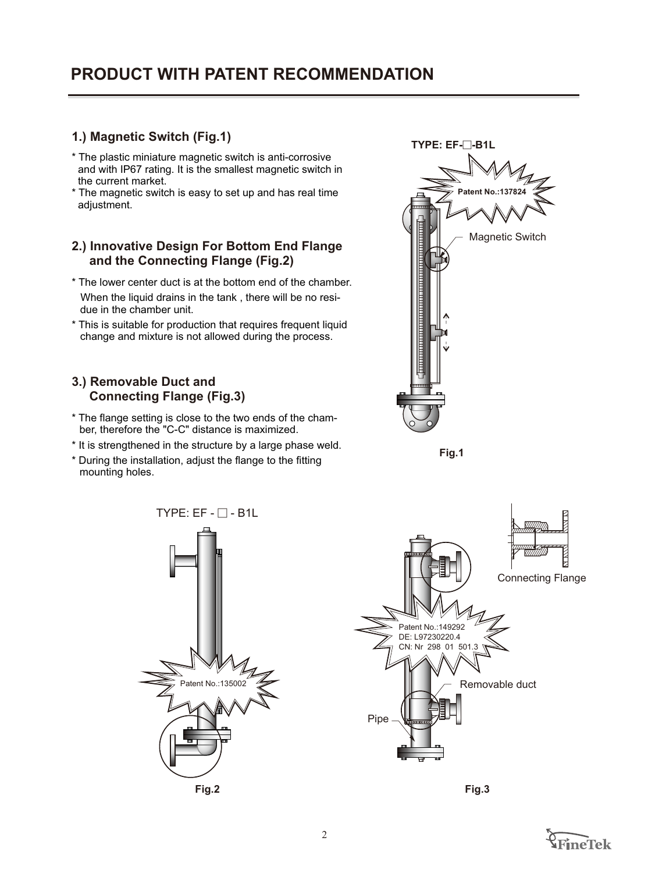# **PRODUCT WITH PATENT RECOMMENDATION**

## **1.) Magnetic Switch (Fig.1)**

- \* The plastic miniature magnetic switch is anti-corrosive and with IP67 rating. It is the smallest magnetic switch in the current market.
- \* The magnetic switch is easy to set up and has real time adjustment.

### **2.) Innovative Design For Bottom End Flange and the Connecting Flange (Fig.2)**

- \* The lower center duct is at the bottom end of the chamber. When the liquid drains in the tank , there will be no residue in the chamber unit.
- \* This is suitable for production that requires frequent liquid change and mixture is not allowed during the process.

### **3.) Removable Duct and Connecting Flange (Fig.3)**

- \* The flange setting is close to the two ends of the chamber, therefore the "C-C" distance is maximized.
- \* It is strengthened in the structure by a large phase weld.
- \* During the installation, adjust the flange to the fitting mounting holes.



**Fig.1**



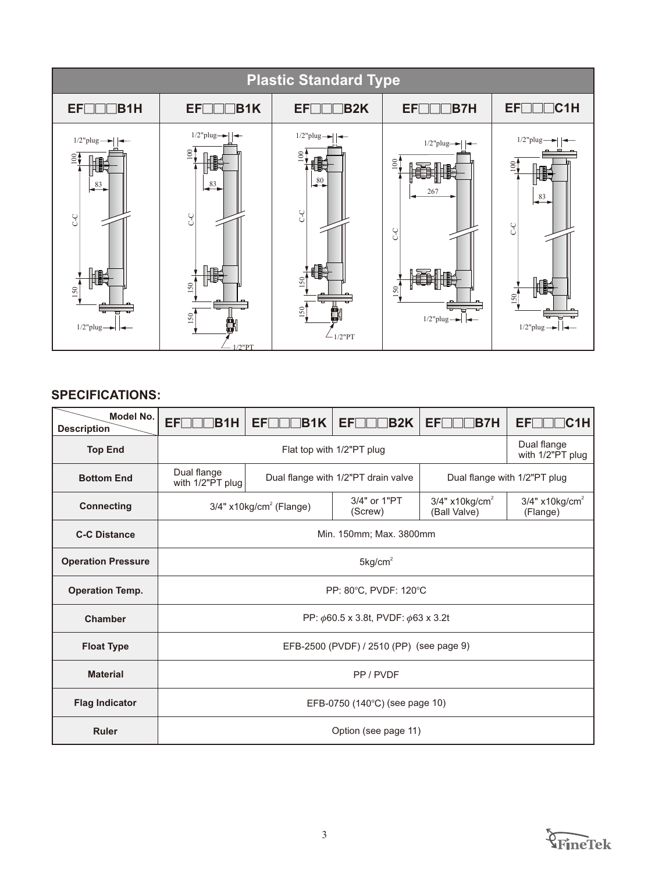

| Model No.<br><b>Description</b> | EF<br>B1H                                      | <b>B1K</b><br>EFI                     | <b>B2K</b><br>EFI                   | EF[]<br><b>IB7H</b>                          | IC1H<br><b>EFIT</b>                      |
|---------------------------------|------------------------------------------------|---------------------------------------|-------------------------------------|----------------------------------------------|------------------------------------------|
| <b>Top End</b>                  |                                                |                                       | Flat top with 1/2"PT plug           |                                              | Dual flange<br>with 1/2"PT plug          |
| <b>Bottom End</b>               | Dual flange<br>with 1/2"PT plug                |                                       | Dual flange with 1/2"PT drain valve |                                              | Dual flange with 1/2"PT plug             |
| <b>Connecting</b>               |                                                | $3/4"$ x10kg/cm <sup>2</sup> (Flange) | 3/4" or 1"PT<br>(Screw)             | $3/4"$ x10kg/cm <sup>2</sup><br>(Ball Valve) | $3/4"$ x10kg/cm <sup>2</sup><br>(Flange) |
| <b>C-C Distance</b>             |                                                |                                       | Min. 150mm; Max. 3800mm             |                                              |                                          |
| <b>Operation Pressure</b>       | $5$ kg/cm <sup>2</sup>                         |                                       |                                     |                                              |                                          |
| <b>Operation Temp.</b>          | PP: 80°C, PVDF: 120°C                          |                                       |                                     |                                              |                                          |
| <b>Chamber</b>                  | PP: $\phi$ 60.5 x 3.8t, PVDF: $\phi$ 63 x 3.2t |                                       |                                     |                                              |                                          |
| <b>Float Type</b>               | EFB-2500 (PVDF) / 2510 (PP) (see page 9)       |                                       |                                     |                                              |                                          |
| <b>Material</b>                 | PP / PVDF                                      |                                       |                                     |                                              |                                          |
| <b>Flag Indicator</b>           | EFB-0750 (140°C) (see page 10)                 |                                       |                                     |                                              |                                          |
| <b>Ruler</b>                    |                                                |                                       | Option (see page 11)                |                                              |                                          |

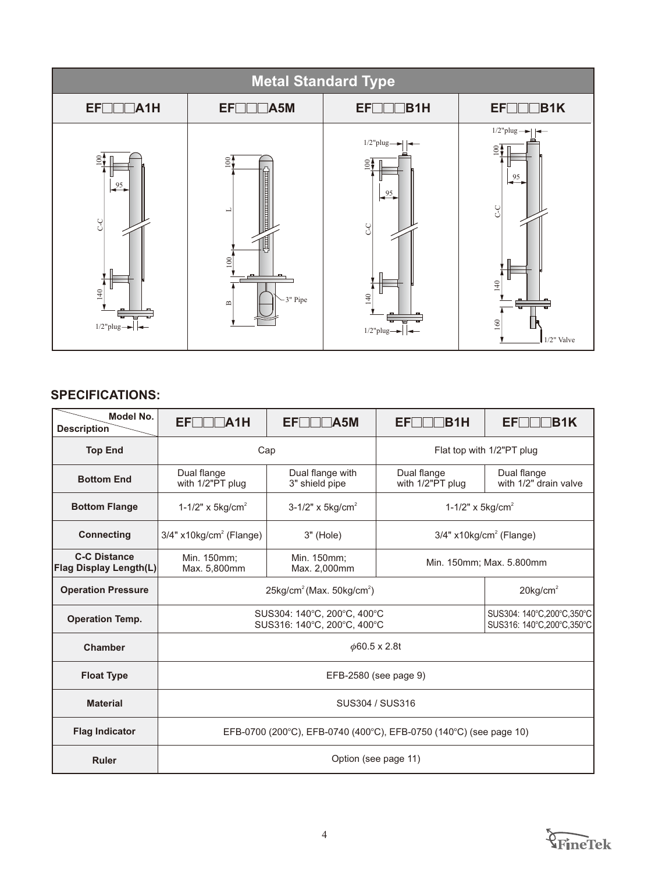

| Model No.<br><b>Description</b>                      | EFIT<br>TA1H                                                                           | EFIT<br>$\mathsf{IA5M}$                                    | IB1H<br>EFL.                          | EFL<br><b>IB1K</b>                                       |  |  |
|------------------------------------------------------|----------------------------------------------------------------------------------------|------------------------------------------------------------|---------------------------------------|----------------------------------------------------------|--|--|
| <b>Top End</b>                                       | Cap                                                                                    |                                                            | Flat top with 1/2"PT plug             |                                                          |  |  |
| <b>Bottom End</b>                                    | Dual flange<br>with 1/2"PT plug                                                        | Dual flange with<br>3" shield pipe                         | Dual flange<br>with 1/2"PT plug       | Dual flange<br>with 1/2" drain valve                     |  |  |
| <b>Bottom Flange</b>                                 | 1-1/2" x 5kg/cm <sup>2</sup>                                                           | 3-1/2" x $5 \text{kg/cm}^2$                                | 1-1/2" x $5 \text{kg/cm}^2$           |                                                          |  |  |
| <b>Connecting</b>                                    | $3/4"$ x10kg/cm <sup>2</sup> (Flange)                                                  | $3"$ (Hole)                                                | $3/4"$ x10kg/cm <sup>2</sup> (Flange) |                                                          |  |  |
| <b>C-C Distance</b><br><b>Flag Display Length(L)</b> | Min. 150mm;<br>Min. 150mm;<br>Min. 150mm; Max. 5.800mm<br>Max. 5,800mm<br>Max. 2,000mm |                                                            |                                       |                                                          |  |  |
| <b>Operation Pressure</b>                            |                                                                                        | $25$ kg/cm <sup>2</sup> (Max. $50$ kg/cm <sup>2</sup> )    |                                       | $20$ kg/cm <sup>2</sup>                                  |  |  |
| <b>Operation Temp.</b>                               |                                                                                        | SUS304: 140°C, 200°C, 400°C<br>SUS316: 140°C, 200°C, 400°C |                                       | SUS304: 140°C, 200°C, 350°C<br>SUS316: 140°C,200°C,350°C |  |  |
| <b>Chamber</b>                                       |                                                                                        | $\phi$ 60.5 x 2.8t                                         |                                       |                                                          |  |  |
| <b>Float Type</b>                                    | EFB-2580 (see page 9)                                                                  |                                                            |                                       |                                                          |  |  |
| <b>Material</b>                                      | SUS304 / SUS316                                                                        |                                                            |                                       |                                                          |  |  |
| <b>Flag Indicator</b>                                | EFB-0700 (200°C), EFB-0740 (400°C), EFB-0750 (140°C) (see page 10)                     |                                                            |                                       |                                                          |  |  |
| <b>Ruler</b>                                         |                                                                                        |                                                            | Option (see page 11)                  |                                                          |  |  |

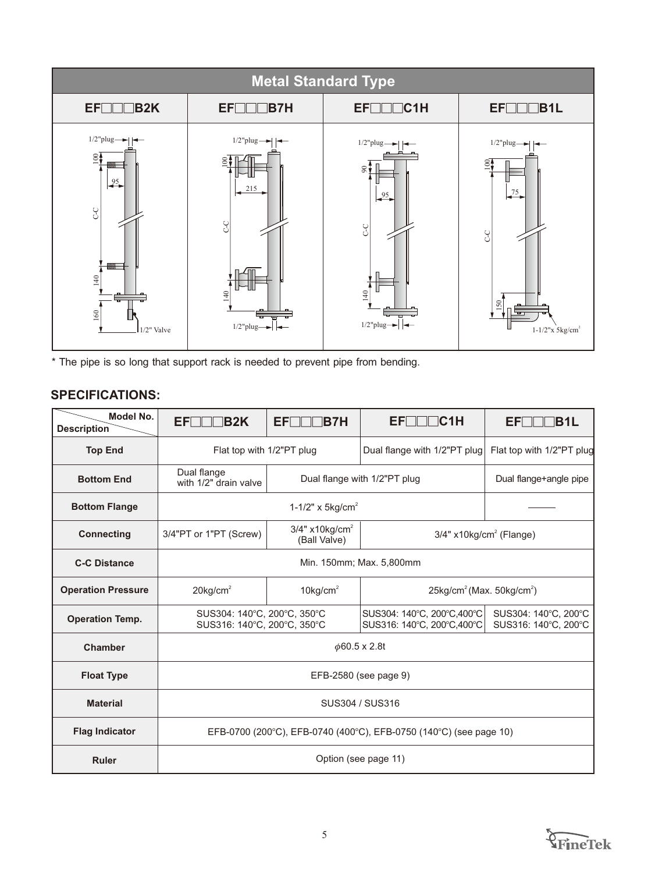

\* The pipe is so long that support rack is needed to prevent pipe from bending.

| <b>Model No.</b><br><b>Description</b> | <b>EFITT</b><br>∃B2K                                                                                | <b>EF</b><br>$\sqcap$ B7H                                                             | EFIIIC1H                                                   | EFI II<br><b>B1L</b>                         |
|----------------------------------------|-----------------------------------------------------------------------------------------------------|---------------------------------------------------------------------------------------|------------------------------------------------------------|----------------------------------------------|
| <b>Top End</b>                         | Flat top with 1/2"PT plug                                                                           |                                                                                       | Dual flange with 1/2"PT plug                               | Flat top with 1/2"PT plug                    |
| <b>Bottom End</b>                      | Dual flange<br>with 1/2" drain valve                                                                |                                                                                       | Dual flange with 1/2"PT plug                               | Dual flange+angle pipe                       |
| <b>Bottom Flange</b>                   |                                                                                                     | 1-1/2" x $5 \text{kg/cm}^2$                                                           |                                                            |                                              |
| <b>Connecting</b>                      | 3/4"PT or 1"PT (Screw)                                                                              | $3/4"$ x10kg/cm <sup>2</sup><br>$3/4"$ x10kg/cm <sup>2</sup> (Flange)<br>(Ball Valve) |                                                            |                                              |
| <b>C-C Distance</b>                    | Min. 150mm; Max. 5,800mm                                                                            |                                                                                       |                                                            |                                              |
| <b>Operation Pressure</b>              | $10$ kg/cm <sup>2</sup><br>$25\text{kg/cm}^2$ (Max. $50\text{kg/cm}^2$ )<br>$20$ kg/cm <sup>2</sup> |                                                                                       |                                                            |                                              |
| <b>Operation Temp.</b>                 | SUS304: 140°C, 200°C, 350°C<br>SUS316: 140°C, 200°C, 350°C                                          |                                                                                       | SUS304: 140°C, 200°C, 400°C<br>SUS316: 140°C, 200°C, 400°C | SUS304: 140°C, 200°C<br>SUS316: 140°C, 200°C |
| <b>Chamber</b>                         |                                                                                                     |                                                                                       | $\phi$ 60.5 x 2.8t                                         |                                              |
| <b>Float Type</b>                      | EFB-2580 (see page 9)                                                                               |                                                                                       |                                                            |                                              |
| <b>Material</b>                        | SUS304 / SUS316                                                                                     |                                                                                       |                                                            |                                              |
| <b>Flag Indicator</b>                  | EFB-0700 (200°C), EFB-0740 (400°C), EFB-0750 (140°C) (see page 10)                                  |                                                                                       |                                                            |                                              |
| <b>Ruler</b>                           |                                                                                                     |                                                                                       | Option (see page 11)                                       |                                              |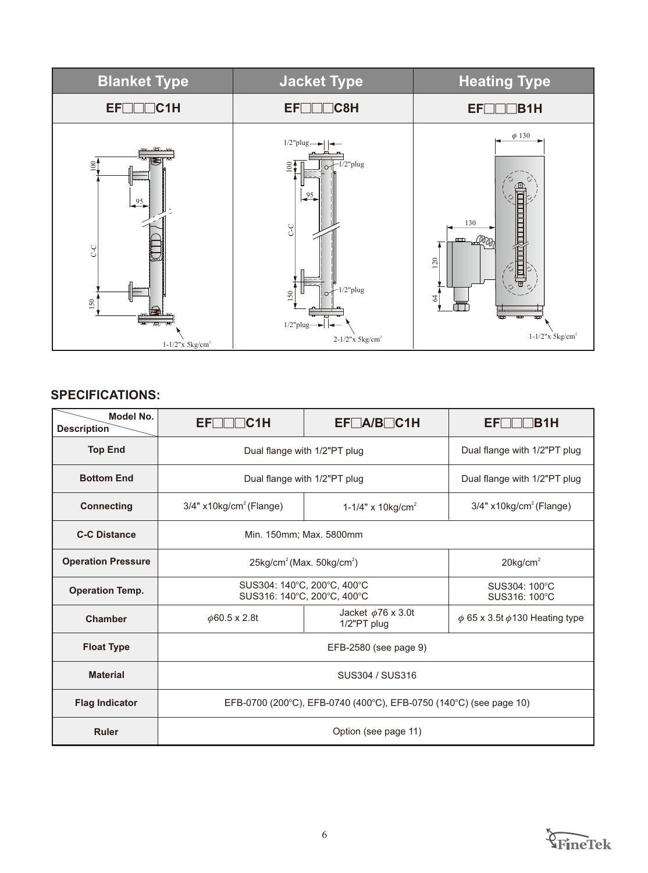

| Model No.<br><b>Description</b> | EFL<br>C1H                                                         | $EF\Box A/B\Box C1H$                      | EFL.<br><b>IB1H</b>                   |  |
|---------------------------------|--------------------------------------------------------------------|-------------------------------------------|---------------------------------------|--|
| <b>Top End</b>                  |                                                                    | Dual flange with 1/2"PT plug              | Dual flange with 1/2"PT plug          |  |
| <b>Bottom End</b>               |                                                                    | Dual flange with 1/2"PT plug              | Dual flange with 1/2"PT plug          |  |
| <b>Connecting</b>               | $3/4"$ x10kg/cm <sup>2</sup> (Flange)                              | 1-1/4" x 10kg/cm <sup>2</sup>             | $3/4"$ x10kg/cm <sup>2</sup> (Flange) |  |
| <b>C-C Distance</b>             | Min. 150mm; Max. 5800mm                                            |                                           |                                       |  |
| <b>Operation Pressure</b>       | $25\text{kg/cm}^2$ (Max. $50\text{kg/cm}^2$ )                      | $20$ kg/cm <sup>2</sup>                   |                                       |  |
| <b>Operation Temp.</b>          | SUS304: 140°C, 200°C, 400°C<br>SUS316: 140°C, 200°C, 400°C         |                                           | SUS304: 100°C<br>SUS316: 100°C        |  |
| <b>Chamber</b>                  | $\phi$ 60.5 x 2.8t                                                 | Jacket $\phi$ 76 x 3.0t<br>$1/2$ "PT plug |                                       |  |
| <b>Float Type</b>               | EFB-2580 (see page 9)                                              |                                           |                                       |  |
| <b>Material</b>                 | SUS304 / SUS316                                                    |                                           |                                       |  |
| <b>Flag Indicator</b>           | EFB-0700 (200°C), EFB-0740 (400°C), EFB-0750 (140°C) (see page 10) |                                           |                                       |  |
| <b>Ruler</b>                    |                                                                    | Option (see page 11)                      |                                       |  |

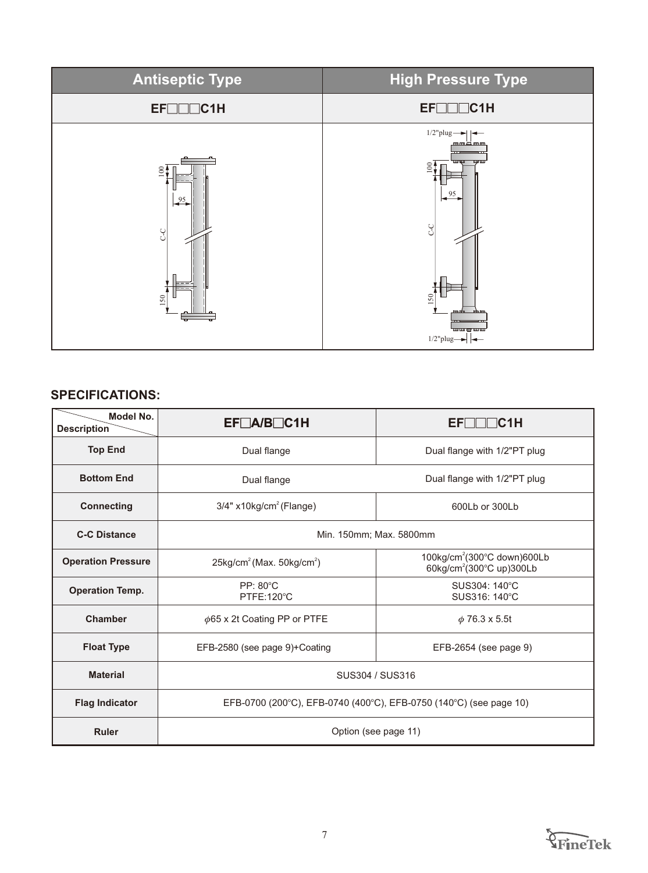

| Model No.<br><b>Description</b> | $EF\Box A/B\Box C1H$                                               | EFT<br>$\blacksquare$ C1H                                                       |  |  |
|---------------------------------|--------------------------------------------------------------------|---------------------------------------------------------------------------------|--|--|
| <b>Top End</b>                  | Dual flange                                                        | Dual flange with 1/2"PT plug                                                    |  |  |
| <b>Bottom End</b>               | Dual flange                                                        | Dual flange with 1/2"PT plug                                                    |  |  |
| <b>Connecting</b>               | 3/4" x10kg/cm <sup>2</sup> (Flange)                                | 600Lb or 300Lb                                                                  |  |  |
| <b>C-C Distance</b>             | Min. 150mm; Max. 5800mm                                            |                                                                                 |  |  |
| <b>Operation Pressure</b>       | $25\text{kg/cm}^2$ (Max. $50\text{kg/cm}^2$ )                      | 100kg/cm <sup>2</sup> (300°C down)600Lb<br>60kg/cm <sup>2</sup> (300°C up)300Lb |  |  |
| <b>Operation Temp.</b>          | $PP: 80^{\circ}C$<br>PTFE:120°C                                    | SUS304: 140°C<br>SUS316: 140°C                                                  |  |  |
| <b>Chamber</b>                  | $\phi$ 65 x 2t Coating PP or PTFE                                  | $\phi$ 76.3 x 5.5t                                                              |  |  |
| <b>Float Type</b>               | EFB-2580 (see page 9)+Coating                                      | EFB-2654 (see page 9)                                                           |  |  |
| <b>Material</b>                 | SUS304 / SUS316                                                    |                                                                                 |  |  |
| <b>Flag Indicator</b>           | EFB-0700 (200°C), EFB-0740 (400°C), EFB-0750 (140°C) (see page 10) |                                                                                 |  |  |
| <b>Ruler</b>                    |                                                                    | Option (see page 11)                                                            |  |  |

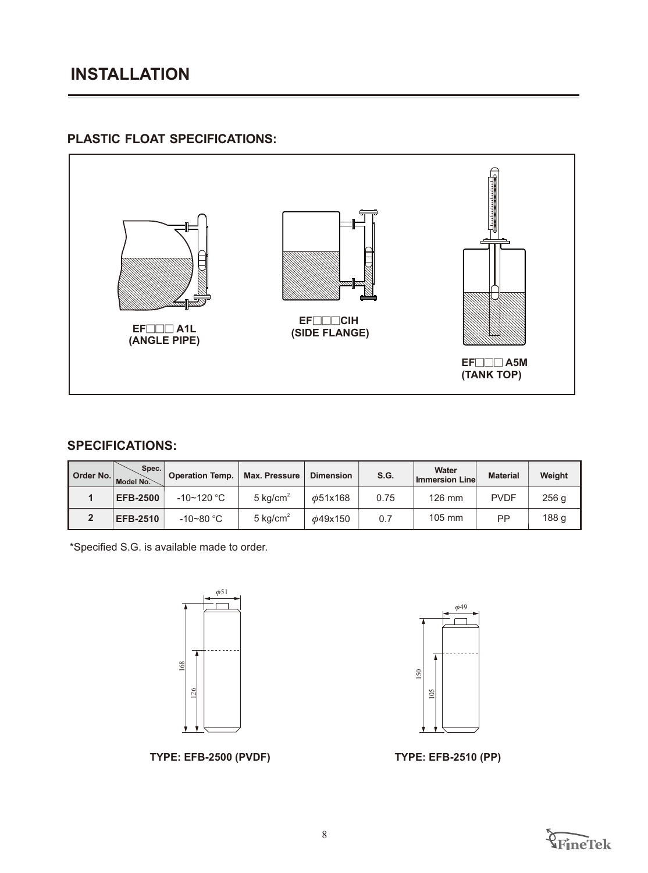# **PLASTIC FLOAT SPECIFICATIONS:**



## **SPECIFICATIONS:**

| Order No. | Spec.<br>Model No. | <b>Operation Temp.</b> | <b>Max. Pressure</b> | <b>Dimension</b> | S.G. | Water<br><b>Immersion Line</b> | <b>Material</b> | Weight |
|-----------|--------------------|------------------------|----------------------|------------------|------|--------------------------------|-----------------|--------|
|           | <b>EFB-2500</b>    | $-10$ ~120 °C          | $5 \text{ kg/cm}^2$  | $\phi$ 51x168    | 0.75 | 126 mm                         | <b>PVDF</b>     | 256 g  |
|           | <b>EFB-2510</b>    | -10~80 $^{\circ}$ C    | 5 kg/cm <sup>2</sup> | $\phi$ 49x150    | 0.7  | 105 mm                         | РP              | 188 g  |

\*Specified S.G. is available made to order.





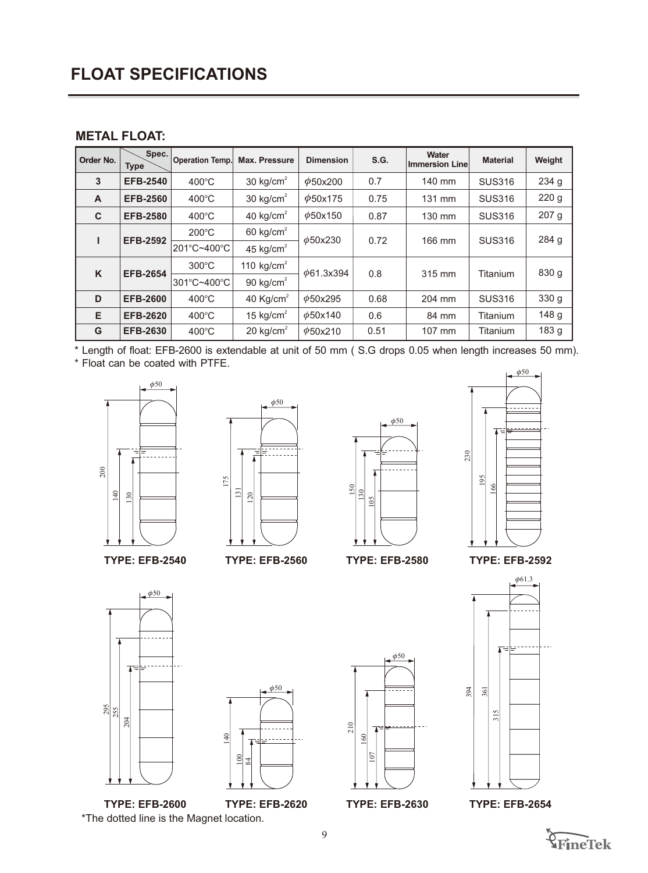# **FLOAT SPECIFICATIONS**

#### **METAL FLOAT:**

| Order No.    | Spec.<br><b>Type</b> | <b>Operation Temp.</b> | <b>Max. Pressure</b>  | <b>Dimension</b>      | S.G. | Water<br><b>Immersion Line</b> | <b>Material</b> | Weight           |       |  |  |
|--------------|----------------------|------------------------|-----------------------|-----------------------|------|--------------------------------|-----------------|------------------|-------|--|--|
| 3            | <b>EFB-2540</b>      | $400^{\circ}$ C        | 30 $kg/cm2$           | $\phi$ 50x200         | 0.7  | 140 mm                         | <b>SUS316</b>   | 234 g            |       |  |  |
| $\mathsf{A}$ | <b>EFB-2560</b>      | $400^{\circ}$ C        | 30 kg/cm <sup>2</sup> | $\phi$ 50x175         | 0.75 | 131 mm                         | <b>SUS316</b>   | 220 g            |       |  |  |
| $\mathbf C$  | <b>EFB-2580</b>      | $400^{\circ}$ C        | 40 kg/cm <sup>2</sup> | $\phi$ 50x150         | 0.87 | 130 mm                         | <b>SUS316</b>   | 207 <sub>g</sub> |       |  |  |
|              | <b>EFB-2592</b>      | $200^{\circ}$ C        | 60 kg/cm $2$          | $\phi$ 50x230<br>0.72 |      |                                | 166 mm          | <b>SUS316</b>    | 284 g |  |  |
|              |                      | 201°C~400°C            | 45 kg/cm $2$          |                       |      |                                |                 |                  |       |  |  |
| K            | <b>EFB-2654</b>      | $300^{\circ}$ C        | 110 $kg/cm2$          | $\phi$ 61.3x394       | 0.8  | 315 mm                         | Titanium        | 830 g            |       |  |  |
|              |                      | 301°C~400°C            | 90 kg/cm <sup>2</sup> |                       |      |                                |                 |                  |       |  |  |
| D            | <b>EFB-2600</b>      | $400^{\circ}$ C        | 40 $Kg/cm2$           | $\phi$ 50x295         | 0.68 | 204 mm                         | <b>SUS316</b>   | 330 g            |       |  |  |
| E            | <b>EFB-2620</b>      | $400^{\circ}$ C        | 15 kg/cm $^2$         | $\phi$ 50x140         | 0.6  | 84 mm                          | Titanium        | 148 g            |       |  |  |
| G            | <b>EFB-2630</b>      | $400^{\circ}$ C        | 20 kg/cm <sup>2</sup> | $\phi$ 50x210         | 0.51 | 107 mm                         | Titanium        | 183 <sub>g</sub> |       |  |  |

\* Length of float: EFB-2600 is extendable at unit of 50 mm ( S.G drops 0.05 when length increases 50 mm).

\* Float can be coated with PTFE.







**TYPE: EFB-2560**





**TYPE: EFB-2580**

**TYPE: EFB-2592**











**TYPE: EFB-2654**

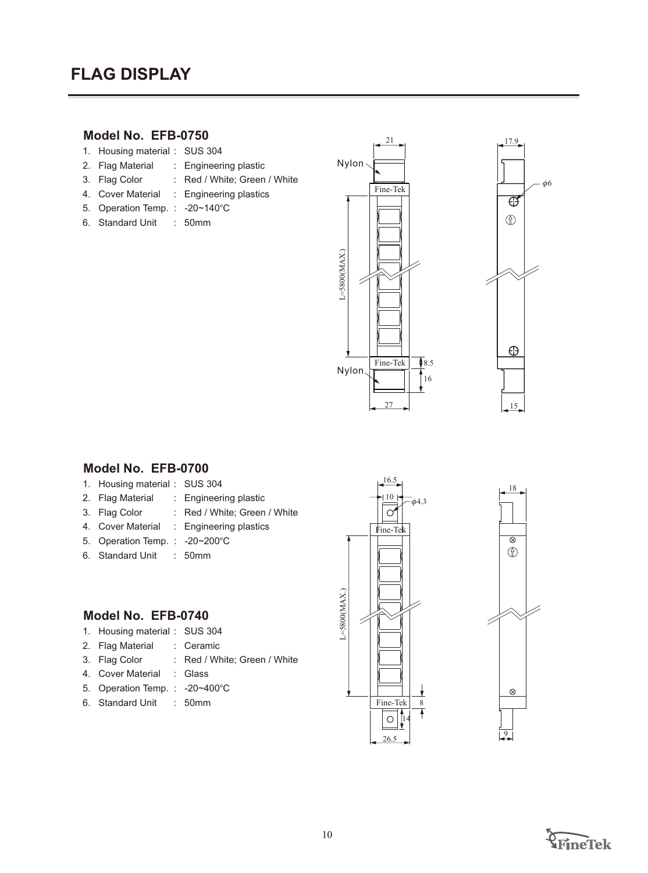# **FLAG DISPLAY**

### **Model No. EFB-0750**

- 1. Housing material : SUS 304
- 2. Flag Material : Engineering plastic
- 3. Flag Color : Red / White; Green / White
- 4. Cover Material : Engineering plastics
- 5. Operation Temp. : 20~140°C
- 6. Standard Unit : 50mm





#### **Model No. EFB-0700**

- 1. Housing material : SUS 304
- 2. Flag Material : Engineering plastic
- 3. Flag Color : Red / White; Green / White
- 4. Cover Material : Engineering plastics
- 5. Operation Temp. : 20~200°C
- 6. Standard Unit : 50mm

#### **Model No. EFB-0740**

- 1. Housing material : SUS 304
- 2. Flag Material : Ceramic
- 3. Flag Color : Red / White; Green / White
- 4. Cover Material : Glass
- 5. Operation Temp. : -20~400°C
- 6. Standard Unit : 50mm



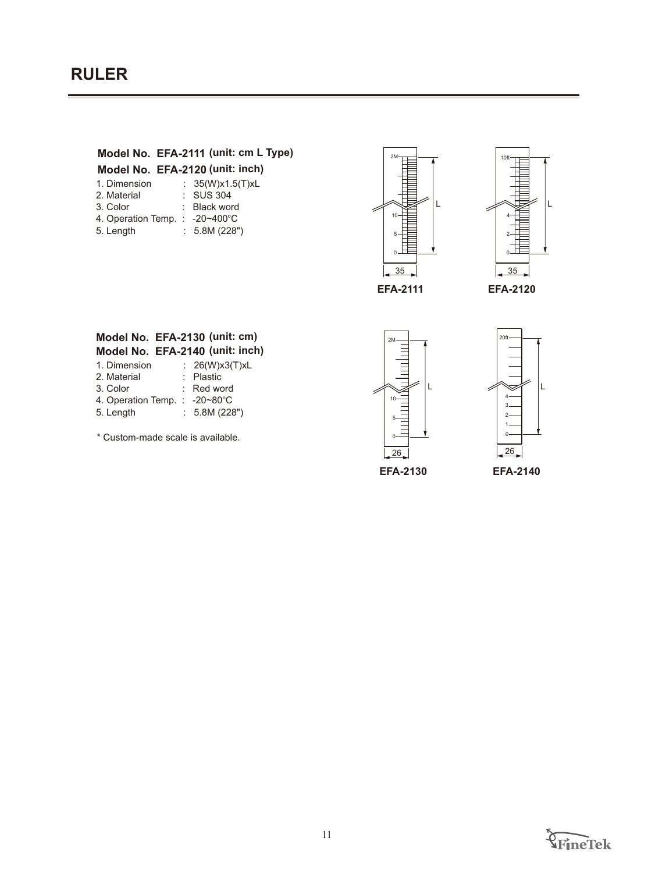## **Model No. EFA-2111 (unit: cm L Type)**

#### **Model No. EFA-2120 (unit: inch)**

| 1. Dimension                  | : $35(W)x1.5(T)xL$ |
|-------------------------------|--------------------|
| 2. Material                   | $:$ SUS 304        |
| 3. Color                      | : Black word       |
| 4. Operation Temp.: -20~400°C |                    |
| 5. Length                     | : 5.8M (228")      |





#### **Model No. EFA-2130 (unit: cm) Model No. EFA-2140 (unit: inch)**

| 1. Dimension | : 26(W)x3(T)xL |
|--------------|----------------|
| 2. Material  | : Plastic      |
| 3. Color     | $:$ Red word   |

- 4. Operation Temp. : -20~80°C
- 5. Length : 5.8M (228")

\* Custom-made scale is available.





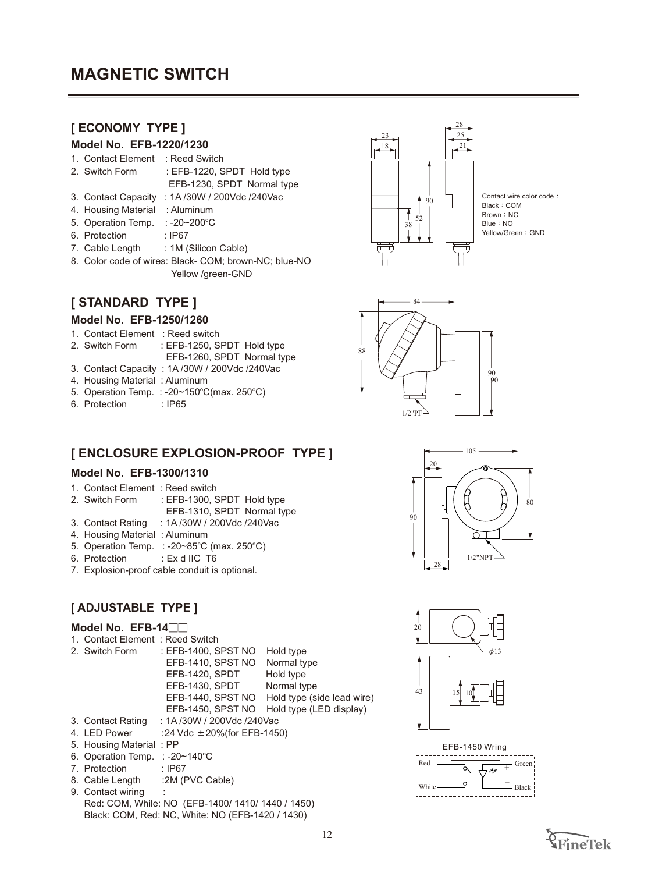# **[ ECONOMY TYPE ]**

# **Model No. EFB-1220/1230**

- 1. Contact Element : Reed Switch
- 2. Switch Form : EFB-1220, SPDT Hold type EFB-1230, SPDT Normal type
- 3. Contact Capacity : 1A /30W / 200Vdc /240Vac
- 4. Housing Material : Aluminum
- 5. Operation Temp. : -20~200°C
- 6. Protection : IP67
- 7. Cable Length : 1M (Silicon Cable)
- 8. Color code of wires: Black- COM; brown-NC; blue-NO Yellow /green-GND

# **[ STANDARD TYPE ]**

#### **Model No. EFB-1250/1260**

- 1. Contact Element : Reed switch
- 2. Switch Form : EFB-1250, SPDT Hold type
	- EFB-1260, SPDT Normal type
- 3. Contact Capacity : 1A /30W / 200Vdc /240Vac
- 4. Housing Material : Aluminum
- 5. Operation Temp. : -20~150°C(max. 250°C)
- 6. Protection : IP65

# **[ ENCLOSURE EXPLOSION-PROOF TYPE ]**

#### **Model No. EFB-1300/1310**

- 1. Contact Element : Reed switch
- 2. Switch Form : EFB-1300, SPDT Hold type
	- EFB-1310, SPDT Normal type
- 3. Contact Rating : 1A /30W / 200Vdc /240Vac
- 4. Housing Material : Aluminum
- 5. Operation Temp. : -20~85°C (max. 250°C)
- 6. Protection : Ex d IIC T6
- 7. Explosion-proof cable conduit is optional.

## **[ ADJUSTABLE TYPE ]**

#### Model No. EFB-14<sup>1</sup>

- 1. Contact Element : Reed Switch
- 2. Switch Form : EFB-1400, SPST NO Hold type
	- EFB-1410, SPST NO Normal type EFB-1420, SPDT Hold type
		- EFB-1430, SPDT Normal type
		- EFB-1440, SPST NO Hold type (side lead wire)
		- EFB-1450, SPST NO Hold type (LED display)
- 3. Contact Rating : 1A /30W / 200Vdc /240Vac
- 4. LED Power : 24 Vdc  $\pm 20\%$ (for EFB-1450)
- 5. Housing Material : PP
- 6. Operation Temp. : -20~140°C
- 7. Protection : IP67
- 8. Cable Length :2M (PVC Cable)
- 9. Contact wiring Red: COM, While: NO (EFB-1400/ 1410/ 1440 / 1450) Black: COM, Red: NC, White: NO (EFB-1420 / 1430)



Contact wire color code : Yellow/Green: GND









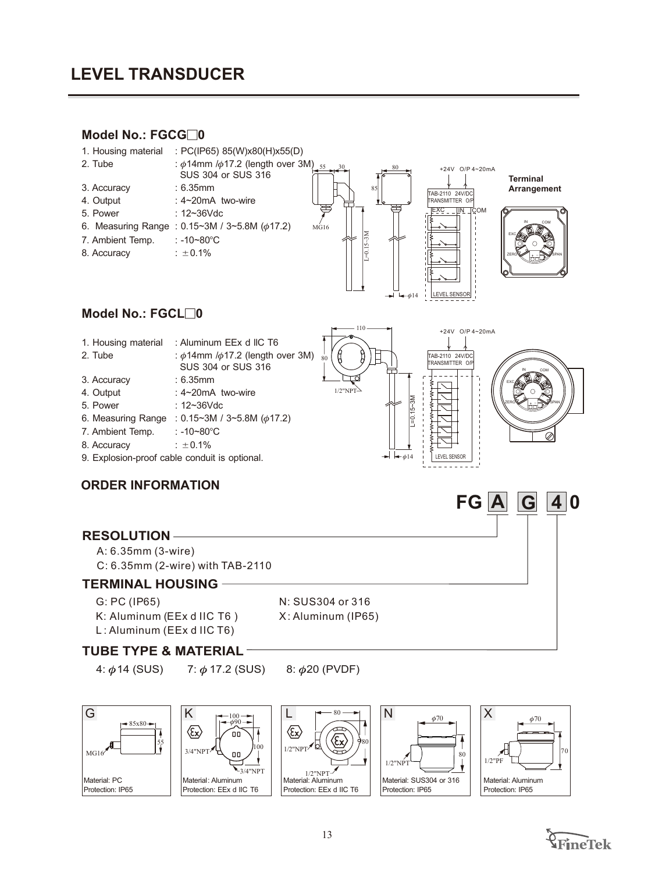# **LEVEL TRANSDUCER**

#### **Model No.: FGCG□0**



- 
- 6. Measuring Range :  $0.15 \sim 3M / 3 \sim 5.8M$  ( $\phi$ 17.2)
- 7. Ambient Temp. : -10~80°C
- 8. Accuracy  $\qquad \qquad : \pm 0.1\%$
- 9. Explosion-proof cable conduit is optional.

#### **ORDER INFORMATION**

#### **RESOLUTION**

- A: 6.35mm (3-wire)
- C: 6.35mm (2-wire) with TAB-2110

#### **TERMINAL HOUSING**

- G: PC (IP65)
- K: Aluminum (EEx d IIC T6 ) L: Aluminum (EEx d IIC T6)
- N: SUS304 or 316 X: Aluminum (IP65)

#### **TUBE TYPE & MATERIAL**

4:  $\phi$ 14 (SUS)

7:  $\phi$  17.2 (SUS) 8:  $\phi$ 20 (PVDF)

G  $-85x80-$ 7 55 MG16 Material: PC Protection: IP65















**FG A G 4 0**

LEVEL SENSOR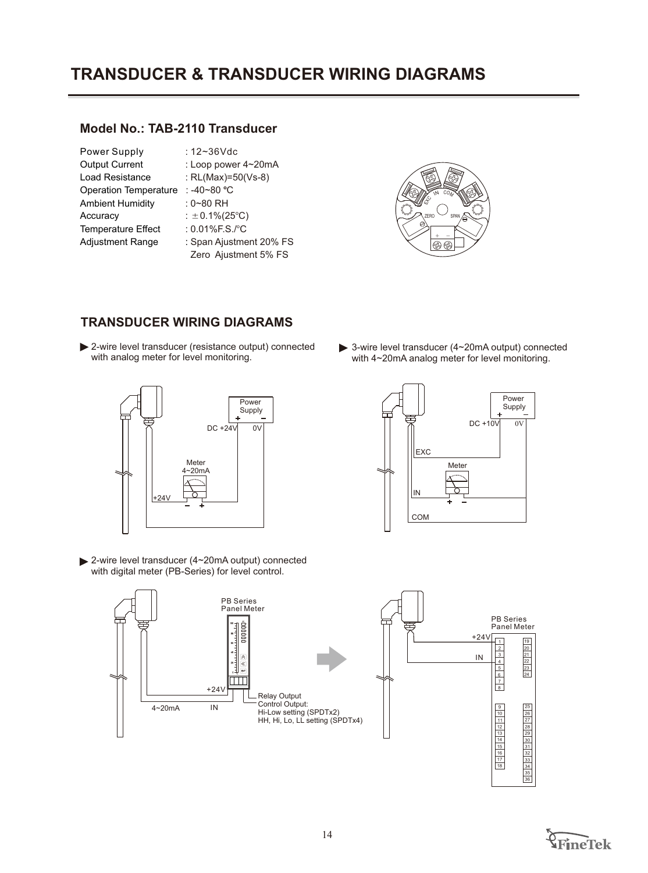# **TRANSDUCER & TRANSDUCER WIRING DIAGRAMS**

### **Model No.: TAB-2110 Transducer**

| Power Supply                 | : $12 - 36$ Vdc                       |
|------------------------------|---------------------------------------|
| <b>Output Current</b>        | : Loop power $4\negmedspace\sim$ 20mA |
| <b>Load Resistance</b>       | : RL(Max)=50(Vs-8)                    |
| <b>Operation Temperature</b> | : -40~80 °C                           |
| <b>Ambient Humidity</b>      | $: 0 - 80$ RH                         |
| Accuracy                     | : $\pm$ 0.1%(25°C)                    |
| <b>Temperature Effect</b>    | : 0.01%F.S./°C                        |
| <b>Adjustment Range</b>      | : Span Ajustment 20% FS               |
|                              | Zero Ajustment 5% FS                  |
|                              |                                       |



### **TRANSDUCER WIRING DIAGRAMS**

2-wire level transducer (resistance output) connected with analog meter for level monitoring.



2-wire level transducer (4~20mA output) connected with digital meter (PB-Series) for level control.



3-wire level transducer (4~20mA output) connected with 4~20mA analog meter for level monitoring.





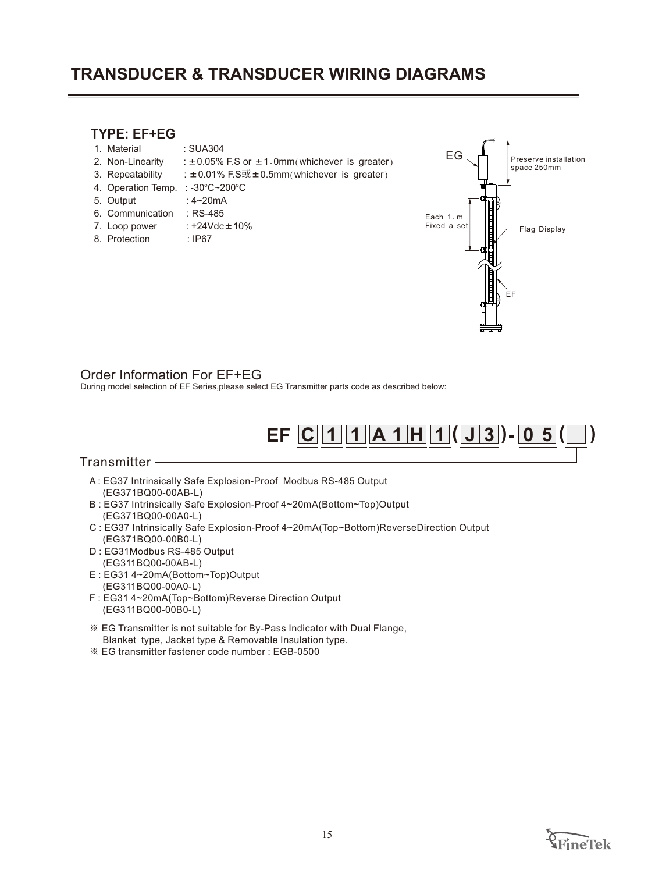# **TRANSDUCER & TRANSDUCER WIRING DIAGRAMS**

## **TYPE: EF+EG**

- 1. SUA304 Material :
- 2. Non-Linearity :  $\pm 0.05\%$  F.S or  $\pm 1.0$ mm(whichever is greater)
- 3. Repeatability  $: ±0.01\%$  F.S或 $±0.5$ mm(whichever is greater)
- 4. Operation Temp. : -30°C~200°C
- 5.  $: 4~20mA$
- 6. Communication : RS-485
- 7. Loop power  $: +24 \text{Vdc} \pm 10\%$
- 8. Protection : IP67



#### Order Information For EF+EG

During model selection of EF Series,please select EG Transmitter parts code as described below:



#### Transmitter

- A : EG37 Intrinsically Safe Explosion-Proof Modbus RS-485 Output (EG371BQ00-00AB-L)
- B : EG37 Intrinsically Safe Explosion-Proof 4~20mA(Bottom~Top)Output (EG371BQ00-00A0-L)
- C : EG37 Intrinsically Safe Explosion-Proof 4~20mA(Top~Bottom)ReverseDirection Output (EG371BQ00-00B0-L)
- EG31Modbus RS-485 Output D : (EG311BQ00-00AB-L)
- E : EG31 4~20mA(Bottom~Top)Output
- (EG311BQ00-00A0-L)
- F : EG31 4~20mA(Top~Bottom)Reverse Direction Output (EG311BQ00-00B0-L)
- ※ EG Transmitter is not suitable for By-Pass Indicator with Dual Flange, Blanket type, Jacket type & Removable Insulation type.
- ※ EG transmitter fastener code number : EGB-0500

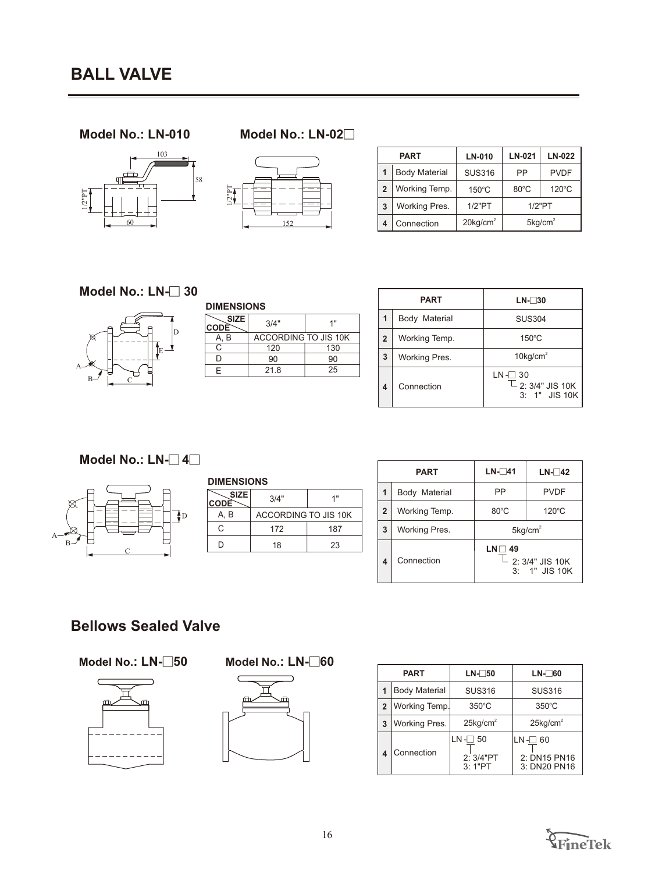## **Model No.: LN-010 Model No.: LN-02**9





|   | <b>PART</b>          | <b>LN-010</b>           | LN-021                 | <b>LN-022</b>   |
|---|----------------------|-------------------------|------------------------|-----------------|
|   | <b>Body Material</b> | <b>SUS316</b>           | PP                     | <b>PVDF</b>     |
| 2 | Working Temp.        | $150^{\circ}$ C         | $80^{\circ}$ C         | $120^{\circ}$ C |
| 3 | Working Pres.        | 1/2"PT                  | $1/2$ "PT              |                 |
| 4 | Connection           | $20$ kg/cm <sup>2</sup> | $5$ kg/cm <sup>2</sup> |                 |

**Model No.: LN-□ 30** 



|                            | <b>DIMENSIONS</b>           |     |  |  |  |
|----------------------------|-----------------------------|-----|--|--|--|
| <b>SIZE</b><br><b>CODE</b> | 3/4"                        | 1 " |  |  |  |
| A, B                       | <b>ACCORDING TO JIS 10K</b> |     |  |  |  |
| C                          | 120                         | 130 |  |  |  |
| ח                          | 90                          | 90  |  |  |  |
| F                          | 21.8                        | 25  |  |  |  |

| <b>PART</b>    |               | $LN-30$                                                                |  |
|----------------|---------------|------------------------------------------------------------------------|--|
| 1              | Body Material | <b>SUS304</b>                                                          |  |
| $\overline{2}$ | Working Temp. | $150^{\circ}$ C                                                        |  |
| 3              | Working Pres. | $10\text{kg/cm}^2$                                                     |  |
| 4              | Connection    | $LN - 30$<br>$\overline{\phantom{a}}$ 2: 3/4" JIS 10K<br>3: 1" JIS 10K |  |

# **Model No.: LN-**□ 4□



| <b>DIMENSIONS</b>                |                      |     |  |
|----------------------------------|----------------------|-----|--|
| <b>SIZE</b><br>CODE <sup>®</sup> | 3/4"                 | 1 " |  |
| A, B                             | ACCORDING TO JIS 10K |     |  |
| C                                | 172                  | 187 |  |
| D                                | 18                   | 23  |  |

|                | <b>PART</b>   | $LN-741$        | $LN-142$                                      |
|----------------|---------------|-----------------|-----------------------------------------------|
| 1              | Body Material | PP              | <b>PVDF</b>                                   |
| $\overline{2}$ | Working Temp. | $80^{\circ}$ C  | $120^{\circ}$ C                               |
| 3              | Working Pres. |                 | $5$ kg/cm <sup>2</sup>                        |
| 4              | Connection    | $LN \square 49$ | $\mathbb L$ 2: 3/4" JIS 10K<br>$3:1"$ JIS 10K |

# **Bellows Sealed Valve**



#### **Model No.: LN-□50 9 Model No.: LN-□60**



| <b>PART</b> |                      | $LN-\,50$                       | $LN-\ 60$                                  |  |
|-------------|----------------------|---------------------------------|--------------------------------------------|--|
|             | <b>Body Material</b> | <b>SUS316</b>                   | <b>SUS316</b>                              |  |
| 2           | <b>Working Temp.</b> | $350^{\circ}$ C                 | $350^{\circ}$ C                            |  |
| 3           | Working Pres.        | $25$ kg/cm <sup>2</sup>         | $25$ kg/cm <sup>2</sup>                    |  |
|             | Connection           | LN -⊟ 50<br>2: 3/4"PT<br>3:1"PT | LN-F<br>60<br>2: DN15 PN16<br>3: DN20 PN16 |  |

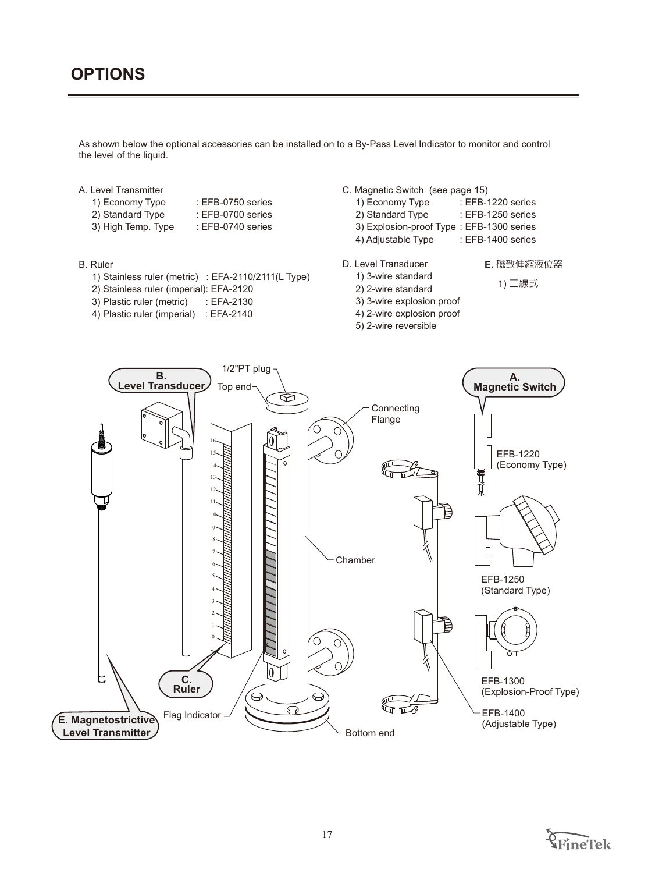As shown below the optional accessories can be installed on to a By-Pass Level Indicator to monitor and control the level of the liquid.

#### A. Level Transmitter

- 1) Economy Type : EFB-0750 series
- 2) Standard Type : EFB-0700 series 3) High Temp. Type : EFB-0740 series

#### B. Ruler

1) Stainless ruler (metric) : EFA-2110/2111(L Type)

Flag Indicator

**E. Magnetostrictive Level Transmitter**

**C. Ruler**

- 2) Stainless ruler (imperial): EFA-2120
- 3) Plastic ruler (metric) : EFA-2130
- 4) Plastic ruler (imperial) : EFA-2140
- C. Magnetic Switch (see page 15)
	- 1) Economy Type : EFB-1220 series
	- 2) Standard Type : EFB-1250 series
	- 3) Explosion-proof Type : EFB-1300 series
	- 4) Adjustable Type : EFB-1400 series
- D. Level Transducer

1) 3-wire standard

- **E.** 磁致伸縮液位器
- 1) 二線式
- 2) 2-wire standard 3) 3-wire explosion proof

 4) 2-wire explosion proof 5) 2-wire reversible



1/2"PT plug **B. Level Transducer** Top end  $\bigoplus$ **Connecting** Flange O 16 15  $\mathbb{R}^{\mathbb{I}}$ 14 灬 13 12 11 10 9

 $\mathbf{0}$ 

क़

ଚ



- EFB-1300 (Explosion-Proof Type)
- EFB-1400 (Adjustable Type)



Bottom end

**Chamber**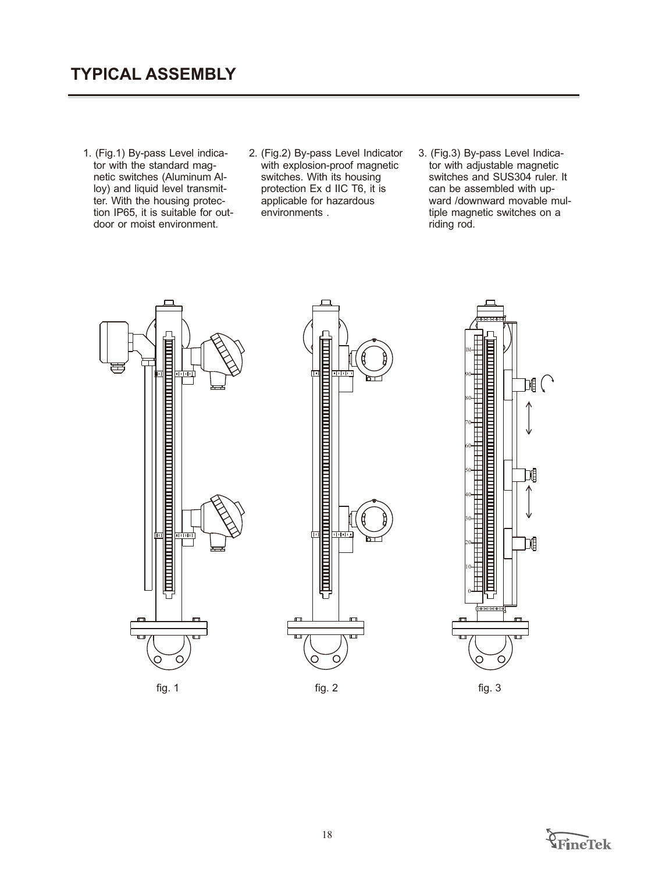- 1. (Fig.1) By-pass Level indicator with the standard magnetic switches (Aluminum Alloy) and liquid level transmitter. With the housing protection IP65, it is suitable for outdoor or moist environment.
- 2. (Fig.2) By-pass Level Indicator 3. (Fig.3) By-pass Level Indicawith explosion-proof magnetic switches. With its housing protection Ex d IIC T6, it is applicable for hazardous environments .
- tor with adjustable magnetic switches and SUS304 ruler. It can be assembled with upward /downward movable multiple magnetic switches on a riding rod. 3. (Fig.3) By-pass Level Indica-



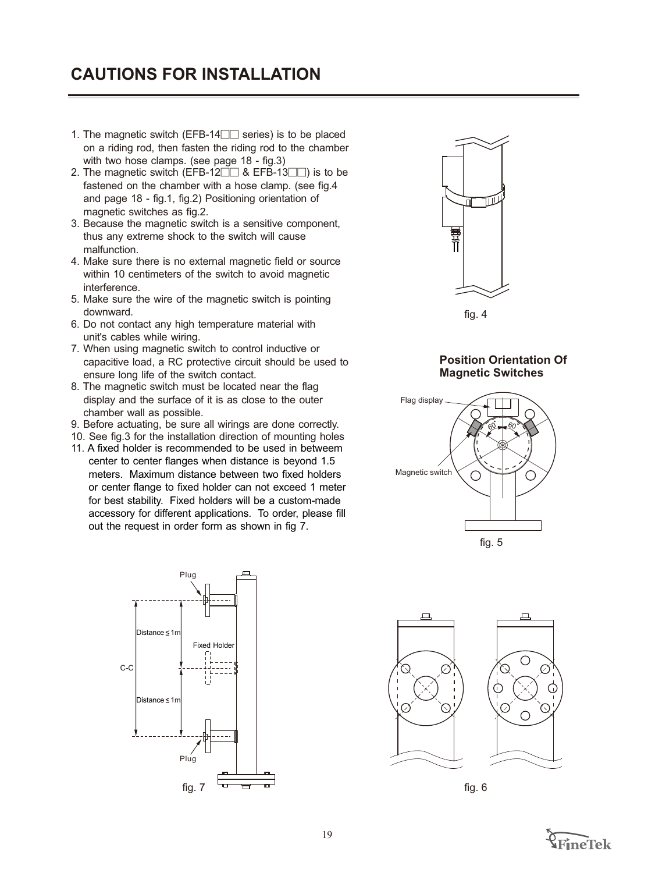# **CAUTIONS FOR INSTALLATION**

- 1. The magnetic switch (EFB-14 $\square$  series) is to be placed on a riding rod, then fasten the riding rod to the chamber with two hose clamps. (see page 18 - fig.3)
- 2. The magnetic switch (EFB-12 $\Box$  & EFB-13 $\Box$ ) is to be fastened on the chamber with a hose clamp. (see fig.4 and page 18 - fig.1, fig.2) Positioning orientation of magnetic switches as fig.2.
- 3. Because the magnetic switch is a sensitive component, thus any extreme shock to the switch will cause malfunction.
- 4. Make sure there is no external magnetic field or source within 10 centimeters of the switch to avoid magnetic interference.
- 5. Make sure the wire of the magnetic switch is pointing downward.
- 6. Do not contact any high temperature material with unit's cables while wiring.
- 7. When using magnetic switch to control inductive or capacitive load, a RC protective circuit should be used to ensure long life of the switch contact.
- 8. The magnetic switch must be located near the flag display and the surface of it is as close to the outer chamber wall as possible.
- 9. Before actuating, be sure all wirings are done correctly.
- 10. See fig.3 for the installation direction of mounting holes
- 11. A fixed holder is recommended to be used in betweem center to center flanges when distance is beyond 1.5 meters. Maximum distance between two fixed holders or center flange to fixed holder can not exceed 1 meter for best stability. Fixed holders will be a custom-made accessory for different applications. To order, please fill out the request in order form as shown in fig 7.





fig. 4

#### **Position Orientation Of Magnetic Switches**







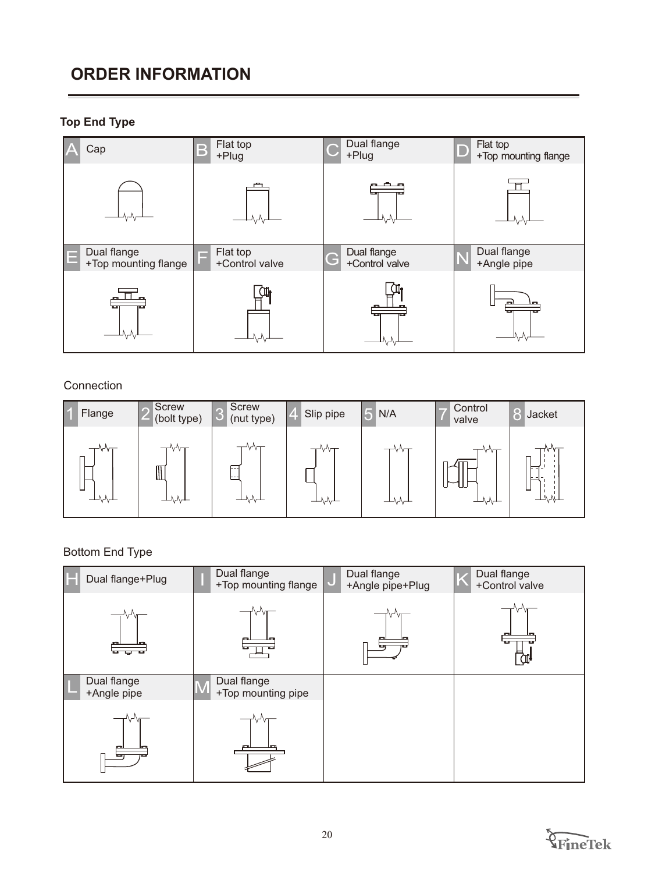# **ORDER INFORMATION**

# **Top End Type**



### Connection

| Flange | <b>Screw</b><br>(bolt type) | <b>Screw</b><br>(nut type) | Slip pipe     | N/A  | Control<br>valve | Ko<br>Jacket                 |
|--------|-----------------------------|----------------------------|---------------|------|------------------|------------------------------|
| ┷₩     | ۷V<br>M<br>┷┙               | ---<br>┷┵╲┷                | ┯⋎₩<br>┷┙╲┙╲┷ | ┷∿∿┷ | ┯₩╥<br>┷ᠰᠰ       | ⊣∿∿⊤<br>┍<br>≂<br>ட<br>┷╩╲╬┷ |

# Bottom End Type

| Dual flange+Plug           | Dual flange<br>+Top mounting flange | Dual flange<br>+Angle pipe+Plug | Dual flange<br>+Control valve |
|----------------------------|-------------------------------------|---------------------------------|-------------------------------|
| ച                          |                                     |                                 |                               |
| Dual flange<br>+Angle pipe | Dual flange<br>+Top mounting pipe   |                                 |                               |
|                            |                                     |                                 |                               |